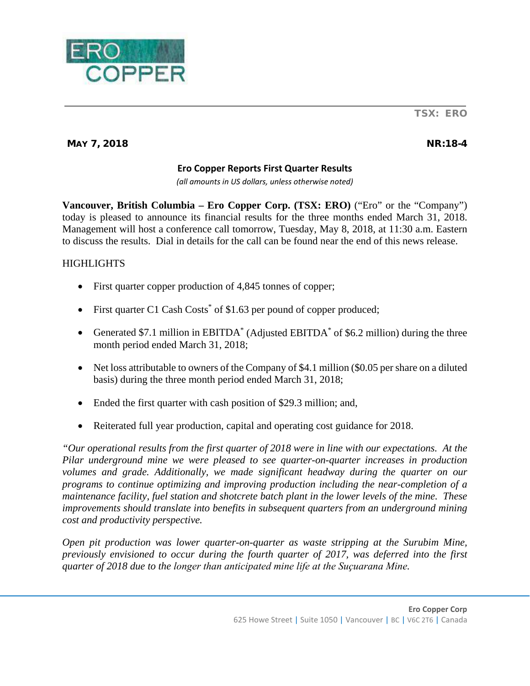

# MAY 7, 2018 NR:18-4

## **Ero Copper Reports First Quarter Results**

*(all amounts in US dollars, unless otherwise noted)*

**Vancouver, British Columbia – Ero Copper Corp. (TSX: ERO)** ("Ero" or the "Company") today is pleased to announce its financial results for the three months ended March 31, 2018. Management will host a conference call tomorrow, Tuesday, May 8, 2018, at 11:30 a.m. Eastern to discuss the results. Dial in details for the call can be found near the end of this news release.

# **HIGHLIGHTS**

- First quarter copper production of 4,845 tonnes of copper;
- First quarter C1 Cash Costs<sup>\*</sup> of \$1.63 per pound of copper produced;
- Generated \$7.1 million in EBITDA<sup>\*</sup> (Adjusted EBITDA<sup>\*</sup> of \$6.2 million) during the three month period ended March 31, 2018;
- Net loss attributable to owners of the Company of \$4.1 million (\$0.05 per share on a diluted basis) during the three month period ended March 31, 2018;
- Ended the first quarter with cash position of \$29.3 million; and,
- Reiterated full year production, capital and operating cost guidance for 2018.

*"Our operational results from the first quarter of 2018 were in line with our expectations. At the Pilar underground mine we were pleased to see quarter-on-quarter increases in production volumes and grade. Additionally, we made significant headway during the quarter on our programs to continue optimizing and improving production including the near-completion of a maintenance facility, fuel station and shotcrete batch plant in the lower levels of the mine. These improvements should translate into benefits in subsequent quarters from an underground mining cost and productivity perspective.*

*Open pit production was lower quarter-on-quarter as waste stripping at the Surubim Mine, previously envisioned to occur during the fourth quarter of 2017, was deferred into the first duarter of 2018 due to the longer than anticipated mine life at the Suçuarana Mine.*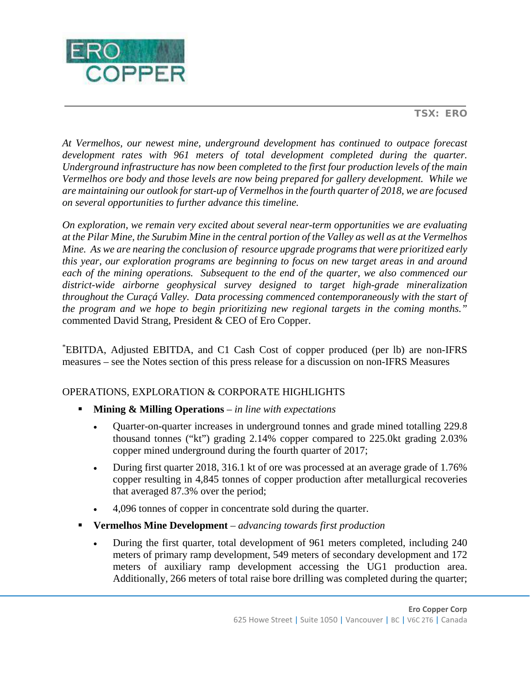

*At Vermelhos, our newest mine, underground development has continued to outpace forecast development rates with 961 meters of total development completed during the quarter. Underground infrastructure has now been completed to the first four production levels of the main Vermelhos ore body and those levels are now being prepared for gallery development. While we are maintaining our outlook for start-up of Vermelhos in the fourth quarter of 2018, we are focused on several opportunities to further advance this timeline.*

*On exploration, we remain very excited about several near-term opportunities we are evaluating at the Pilar Mine, the Surubim Mine in the central portion of the Valley as well as at the Vermelhos Mine. As we are nearing the conclusion of resource upgrade programs that were prioritized early this year, our exploration programs are beginning to focus on new target areas in and around each of the mining operations. Subsequent to the end of the quarter, we also commenced our district-wide airborne geophysical survey designed to target high-grade mineralization throughout the Curaçá Valley. Data processing commenced contemporaneously with the start of the program and we hope to begin prioritizing new regional targets in the coming months."* commented David Strang, President & CEO of Ero Copper.

\* EBITDA, Adjusted EBITDA, and C1 Cash Cost of copper produced (per lb) are non-IFRS measures – see the Notes section of this press release for a discussion on non-IFRS Measures

# OPERATIONS, EXPLORATION & CORPORATE HIGHLIGHTS

- **Mining & Milling Operations** *in line with expectations*
	- Quarter-on-quarter increases in underground tonnes and grade mined totalling 229.8 thousand tonnes ("kt") grading 2.14% copper compared to 225.0kt grading 2.03% copper mined underground during the fourth quarter of 2017;
	- During first quarter 2018, 316.1 kt of ore was processed at an average grade of 1.76% copper resulting in 4,845 tonnes of copper production after metallurgical recoveries that averaged 87.3% over the period;
	- 4,096 tonnes of copper in concentrate sold during the quarter.
- **Vermelhos Mine Development**  *advancing towards first production*
	- During the first quarter, total development of 961 meters completed, including 240 meters of primary ramp development, 549 meters of secondary development and 172 meters of auxiliary ramp development accessing the UG1 production area. Additionally, 266 meters of total raise bore drilling was completed during the quarter;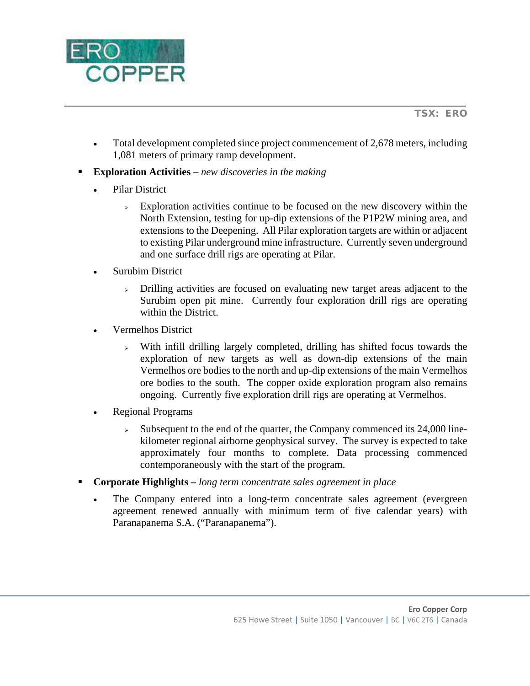

- Total development completed since project commencement of 2,678 meters, including 1,081 meters of primary ramp development.
- **Exploration Activities** *new discoveries in the making*
	- Pilar District
		- $\geq$  Exploration activities continue to be focused on the new discovery within the North Extension, testing for up-dip extensions of the P1P2W mining area, and extensions to the Deepening. All Pilar exploration targets are within or adjacent to existing Pilar underground mine infrastructure. Currently seven underground and one surface drill rigs are operating at Pilar.
	- **Surubim District** 
		- $\rightarrow$  Drilling activities are focused on evaluating new target areas adjacent to the Surubim open pit mine. Currently four exploration drill rigs are operating within the District.
	- Vermelhos District
		- $\rightarrow$  With infill drilling largely completed, drilling has shifted focus towards the exploration of new targets as well as down-dip extensions of the main Vermelhos ore bodies to the north and up-dip extensions of the main Vermelhos ore bodies to the south. The copper oxide exploration program also remains ongoing. Currently five exploration drill rigs are operating at Vermelhos.
	- Regional Programs
		- $\triangleright$  Subsequent to the end of the quarter, the Company commenced its 24,000 linekilometer regional airborne geophysical survey. The survey is expected to take approximately four months to complete. Data processing commenced contemporaneously with the start of the program.
- **Corporate Highlights –** *long term concentrate sales agreement in place*
	- The Company entered into a long-term concentrate sales agreement (evergreen agreement renewed annually with minimum term of five calendar years) with Paranapanema S.A. ("Paranapanema").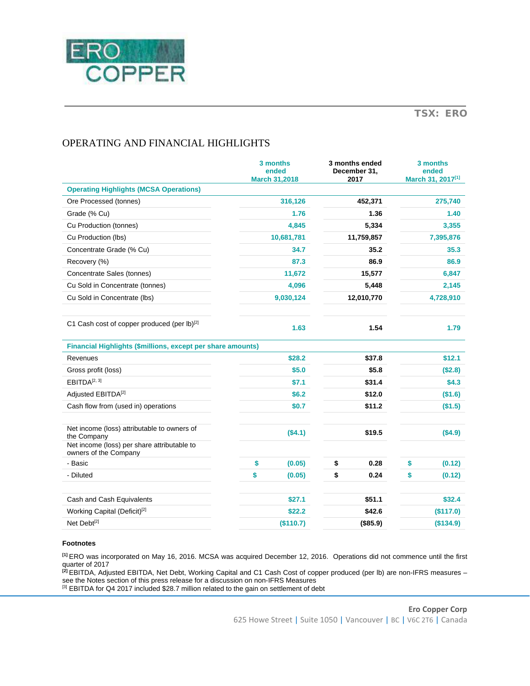

# OPERATING AND FINANCIAL HIGHLIGHTS

|                                                                                                           | 3 months<br>ended<br><b>March 31,2018</b> | 3 months ended<br>December 31.<br>2017 | 3 months<br>ended<br>March 31, 2017 <sup>[1]</sup> |
|-----------------------------------------------------------------------------------------------------------|-------------------------------------------|----------------------------------------|----------------------------------------------------|
| <b>Operating Highlights (MCSA Operations)</b>                                                             |                                           |                                        |                                                    |
| Ore Processed (tonnes)                                                                                    | 316,126                                   | 452,371                                | 275,740                                            |
| Grade (% Cu)                                                                                              | 1.76                                      | 1.36                                   | 1.40                                               |
| Cu Production (tonnes)                                                                                    | 4,845                                     | 5,334                                  | 3,355                                              |
| Cu Production (lbs)                                                                                       | 10,681,781                                | 11,759,857                             | 7,395,876                                          |
| Concentrate Grade (% Cu)                                                                                  | 34.7                                      | 35.2                                   | 35.3                                               |
| Recovery (%)                                                                                              | 87.3                                      | 86.9                                   | 86.9                                               |
| Concentrate Sales (tonnes)                                                                                | 11,672                                    | 15,577                                 | 6,847                                              |
| Cu Sold in Concentrate (tonnes)                                                                           | 4,096                                     | 5,448                                  | 2,145                                              |
| Cu Sold in Concentrate (lbs)                                                                              | 9,030,124                                 | 12,010,770                             | 4,728,910                                          |
| C1 Cash cost of copper produced (per lb)[2]                                                               | 1.63                                      | 1.54                                   | 1.79                                               |
| <b>Financial Highlights (\$millions, except per share amounts)</b>                                        |                                           |                                        |                                                    |
| Revenues                                                                                                  | \$28.2                                    | \$37.8                                 | \$12.1                                             |
| Gross profit (loss)                                                                                       | \$5.0                                     | \$5.8\$                                | (\$2.8)                                            |
| EBITDA <sup>[2, 3]</sup>                                                                                  | \$7.1                                     | \$31.4                                 | \$4.3                                              |
| Adjusted EBITDA <sup>[2]</sup>                                                                            | \$6.2                                     | \$12.0                                 | (\$1.6)                                            |
| Cash flow from (used in) operations                                                                       | \$0.7                                     | \$11.2                                 | (\$1.5)                                            |
| Net income (loss) attributable to owners of<br>the Company<br>Net income (loss) per share attributable to | (\$4.1)                                   | \$19.5                                 | (\$4.9)                                            |
| owners of the Company                                                                                     |                                           |                                        |                                                    |
| - Basic                                                                                                   | \$<br>(0.05)                              | \$<br>0.28                             | \$<br>(0.12)                                       |
| - Diluted                                                                                                 | \$<br>(0.05)                              | \$<br>0.24                             | \$<br>(0.12)                                       |
| Cash and Cash Equivalents                                                                                 | \$27.1                                    | \$51.1                                 | \$32.4                                             |
| Working Capital (Deficit) <sup>[2]</sup>                                                                  | \$22.2                                    | \$42.6                                 | (\$117.0)                                          |
| Net Debt <sup>[2]</sup>                                                                                   | (\$110.7)                                 | (\$85.9)                               | (\$134.9)                                          |

#### **Footnotes**

**[1]** ERO was incorporated on May 16, 2016. MCSA was acquired December 12, 2016. Operations did not commence until the first quarter of 2017

**[2]** EBITDA, Adjusted EBITDA, Net Debt, Working Capital and C1 Cash Cost of copper produced (per lb) are non-IFRS measures – see the Notes section of this press release for a discussion on non-IFRS Measures <sup>[3]</sup> EBITDA for Q4 2017 included \$28.7 million related to the gain on settlement of debt

> **Ero Copper Corp**  625 Howe Street | Suite 1050 | Vancouver | BC | V6C 2T6 | Canada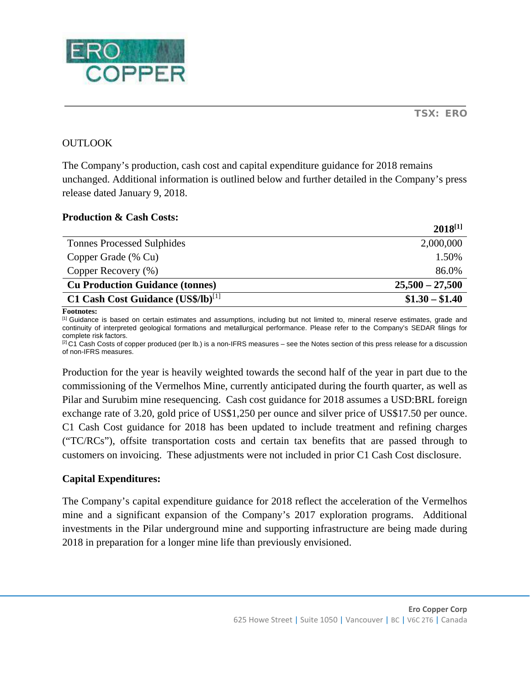

# **OUTLOOK**

The Company's production, cash cost and capital expenditure guidance for 2018 remains unchanged. Additional information is outlined below and further detailed in the Company's press release dated January 9, 2018.

## **Production & Cash Costs:**

|                                                | $2018^{[1]}$      |
|------------------------------------------------|-------------------|
| <b>Tonnes Processed Sulphides</b>              | 2,000,000         |
| Copper Grade (% Cu)                            | 1.50%             |
| Copper Recovery (%)                            | 86.0%             |
| <b>Cu Production Guidance (tonnes)</b>         | $25,500 - 27,500$ |
| C1 Cash Cost Guidance (US\$/lb) <sup>[1]</sup> | $$1.30 - $1.40$   |

**Footnotes:**

<sup>[1]</sup> Guidance is based on certain estimates and assumptions, including but not limited to, mineral reserve estimates, grade and continuity of interpreted geological formations and metallurgical performance. Please refer to the Company's SEDAR filings for complete risk factors.

 $[2]$ C1 Cash Costs of copper produced (per lb.) is a non-IFRS measures – see the Notes section of this press release for a discussion of non-IFRS measures.

Production for the year is heavily weighted towards the second half of the year in part due to the commissioning of the Vermelhos Mine, currently anticipated during the fourth quarter, as well as Pilar and Surubim mine resequencing. Cash cost guidance for 2018 assumes a USD:BRL foreign exchange rate of 3.20, gold price of US\$1,250 per ounce and silver price of US\$17.50 per ounce. C1 Cash Cost guidance for 2018 has been updated to include treatment and refining charges ("TC/RCs"), offsite transportation costs and certain tax benefits that are passed through to customers on invoicing. These adjustments were not included in prior C1 Cash Cost disclosure.

## **Capital Expenditures:**

The Company's capital expenditure guidance for 2018 reflect the acceleration of the Vermelhos mine and a significant expansion of the Company's 2017 exploration programs. Additional investments in the Pilar underground mine and supporting infrastructure are being made during 2018 in preparation for a longer mine life than previously envisioned.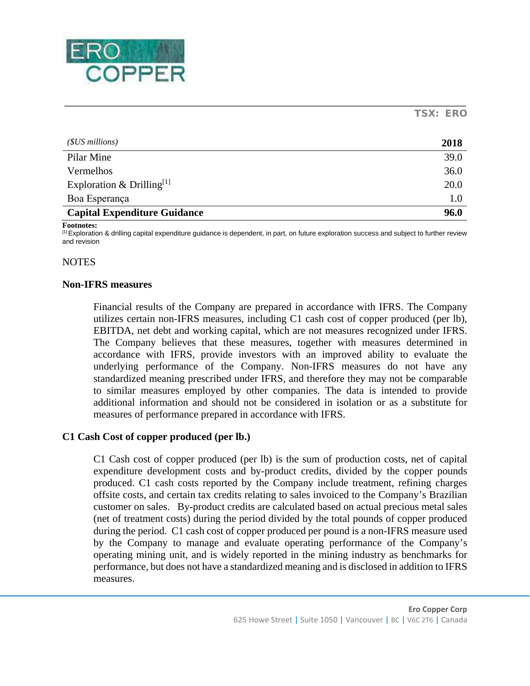

| $(SUS$ millions)                      | 2018 |
|---------------------------------------|------|
| Pilar Mine                            | 39.0 |
| Vermelhos                             | 36.0 |
| Exploration & Drilling <sup>[1]</sup> | 20.0 |
| Boa Esperança                         | 1.0  |
| <b>Capital Expenditure Guidance</b>   | 96.0 |

**Footnotes:**

<sup>[1]</sup> Exploration & drilling capital expenditure guidance is dependent, in part, on future exploration success and subject to further review and revision

## **NOTES**

#### **Non-IFRS measures**

Financial results of the Company are prepared in accordance with IFRS. The Company utilizes certain non-IFRS measures, including C1 cash cost of copper produced (per lb), EBITDA, net debt and working capital, which are not measures recognized under IFRS. The Company believes that these measures, together with measures determined in accordance with IFRS, provide investors with an improved ability to evaluate the underlying performance of the Company. Non-IFRS measures do not have any standardized meaning prescribed under IFRS, and therefore they may not be comparable to similar measures employed by other companies. The data is intended to provide additional information and should not be considered in isolation or as a substitute for measures of performance prepared in accordance with IFRS.

#### **C1 Cash Cost of copper produced (per lb.)**

C1 Cash cost of copper produced (per lb) is the sum of production costs, net of capital expenditure development costs and by-product credits, divided by the copper pounds produced. C1 cash costs reported by the Company include treatment, refining charges offsite costs, and certain tax credits relating to sales invoiced to the Company's Brazilian customer on sales. By-product credits are calculated based on actual precious metal sales (net of treatment costs) during the period divided by the total pounds of copper produced during the period. C1 cash cost of copper produced per pound is a non-IFRS measure used by the Company to manage and evaluate operating performance of the Company's operating mining unit, and is widely reported in the mining industry as benchmarks for performance, but does not have a standardized meaning and is disclosed in addition to IFRS measures.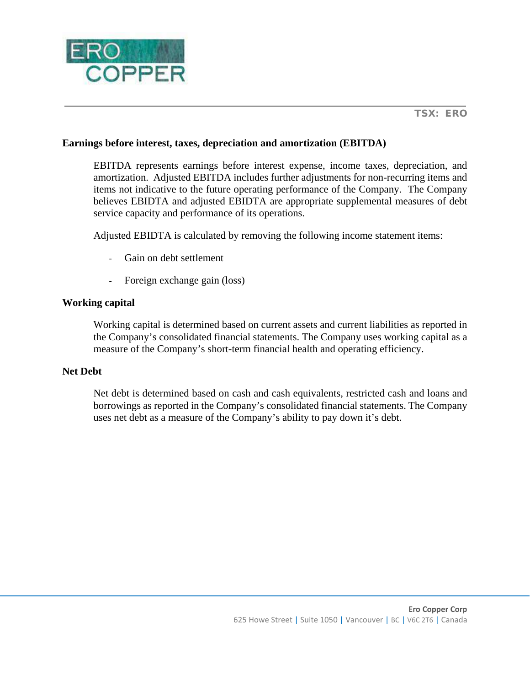

# **Earnings before interest, taxes, depreciation and amortization (EBITDA)**

EBITDA represents earnings before interest expense, income taxes, depreciation, and amortization. Adjusted EBITDA includes further adjustments for non-recurring items and items not indicative to the future operating performance of the Company. The Company believes EBIDTA and adjusted EBIDTA are appropriate supplemental measures of debt service capacity and performance of its operations.

Adjusted EBIDTA is calculated by removing the following income statement items:

- Gain on debt settlement
- Foreign exchange gain (loss)

## **Working capital**

Working capital is determined based on current assets and current liabilities as reported in the Company's consolidated financial statements. The Company uses working capital as a measure of the Company's short-term financial health and operating efficiency.

## **Net Debt**

Net debt is determined based on cash and cash equivalents, restricted cash and loans and borrowings as reported in the Company's consolidated financial statements. The Company uses net debt as a measure of the Company's ability to pay down it's debt.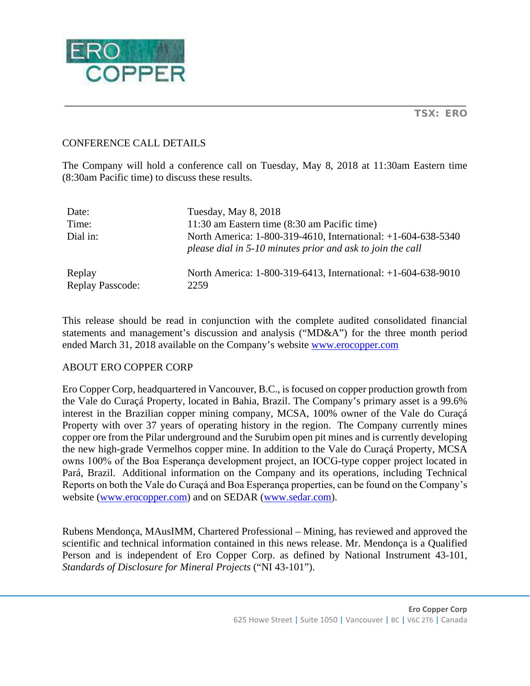

# CONFERENCE CALL DETAILS

The Company will hold a conference call on Tuesday, May 8, 2018 at 11:30am Eastern time (8:30am Pacific time) to discuss these results.

| Date:                             | Tuesday, May 8, 2018                                                                                                        |
|-----------------------------------|-----------------------------------------------------------------------------------------------------------------------------|
| Time:                             | 11:30 am Eastern time (8:30 am Pacific time)                                                                                |
| Dial in:                          | North America: 1-800-319-4610, International: +1-604-638-5340<br>please dial in 5-10 minutes prior and ask to join the call |
| Replay<br><b>Replay Passcode:</b> | North America: 1-800-319-6413, International: +1-604-638-9010<br>2259                                                       |

This release should be read in conjunction with the complete audited consolidated financial statements and management's discussion and analysis ("MD&A") for the three month period ended March 31, 2018 available on the Company's website [www.erocopper.com](http://www.erocopper.com/)

## ABOUT ERO COPPER CORP

Ero Copper Corp, headquartered in Vancouver, B.C., is focused on copper production growth from the Vale do Curaçá Property, located in Bahia, Brazil. The Company's primary asset is a 99.6% interest in the Brazilian copper mining company, MCSA, 100% owner of the Vale do Curaçá Property with over 37 years of operating history in the region. The Company currently mines copper ore from the Pilar underground and the Surubim open pit mines and is currently developing the new high-grade Vermelhos copper mine. In addition to the Vale do Curaçá Property, MCSA owns 100% of the Boa Esperança development project, an IOCG-type copper project located in Pará, Brazil. Additional information on the Company and its operations, including Technical Reports on both the Vale do Curaçá and Boa Esperança properties, can be found on the Company's website [\(www.erocopper.com\)](http://www.erocopper.com/) and on SEDAR [\(www.sedar.com\)](http://www.sedar.com/).

Rubens Mendonça, MAusIMM, Chartered Professional – Mining, has reviewed and approved the scientific and technical information contained in this news release. Mr. Mendonça is a Qualified Person and is independent of Ero Copper Corp. as defined by National Instrument 43-101, *Standards of Disclosure for Mineral Projects* ("NI 43-101").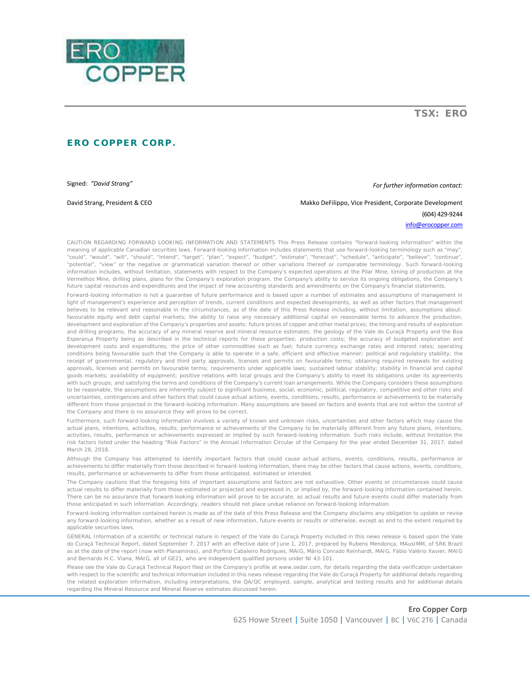

ERO COPPER CORP.

Signed: *"David Strang" For further information contact:*

David Strang, President & CEO **Makko Defilippo, Vice President, Corporate Development** (604) 429-9244

[info@erocopper.com](mailto:info@erocopper.com)

CAUTION REGARDING FORWARD LOOKING INFORMATION AND STATEMENTS This Press Release contains "forward-looking information" within the meaning of applicable Canadian securities laws. Forward-looking information includes statements that use forward-looking terminology such as "may", "could", "would", "will", "should", "intend", "target", "plan", "expect", "budget", "estimate", "forecast", "schedule", "anticipate", "believe", "continue", "potential", "view" or the negative or grammatical variation thereof or other variations thereof or comparable terminology. Such forward-looking information includes, without limitation, statements with respect to the Company's expected operations at the Pilar Mine, timing of production at the Vermelhos Mine, drilling plans, plans for the Company's exploration program, the Company's ability to service its ongoing obligations, the Company's future capital resources and expenditures and the impact of new accounting standards and amendments on the Company's financial statements.

Forward-looking information is not a guarantee of future performance and is based upon a number of estimates and assumptions of management in light of management's experience and perception of trends, current conditions and expected developments, as well as other factors that management believes to be relevant and reasonable in the circumstances, as of the date of this Press Release including, without limitation, assumptions about: favourable equity and debt capital markets; the ability to raise any necessary additional capital on reasonable terms to advance the production, development and exploration of the Company's properties and assets; future prices of copper and other metal prices; the timing and results of exploration and drilling programs; the accuracy of any mineral reserve and mineral resource estimates; the geology of the Vale do Curaçá Property and the Boa Esperança Property being as described in the technical reports for these properties; production costs; the accuracy of budgeted exploration and development costs and expenditures; the price of other commodities such as fuel; future currency exchange rates and interest rates; operating conditions being favourable such that the Company is able to operate in a safe, efficient and effective manner; political and regulatory stability; the receipt of governmental, regulatory and third party approvals, licenses and permits on favourable terms; obtaining required renewals for existing approvals, licenses and permits on favourable terms; requirements under applicable laws; sustained labour stability; stability in financial and capital goods markets; availability of equipment; positive relations with local groups and the Company's ability to meet its obligations under its agreements with such groups; and satisfying the terms and conditions of the Company's current loan arrangements. While the Company considers these assumptions to be reasonable, the assumptions are inherently subject to significant business, social, economic, political, regulatory, competitive and other risks and uncertainties, contingencies and other factors that could cause actual actions, events, conditions, results, performance or achievements to be materially different from those projected in the forward-looking information. Many assumptions are based on factors and events that are not within the control of the Company and there is no assurance they will prove to be correct.

Furthermore, such forward-looking information involves a variety of known and unknown risks, uncertainties and other factors which may cause the actual plans, intentions, activities, results, performance or achievements of the Company to be materially different from any future plans, intentions, activities, results, performance or achievements expressed or implied by such forward-looking information. Such risks include, without limitation the risk factors listed under the heading "Risk Factors" in the Annual Information Circular of the Company for the year ended December 31, 2017, dated March 28, 2018.

Although the Company has attempted to identify important factors that could cause actual actions, events, conditions, results, performance or achievements to differ materially from those described in forward-looking information, there may be other factors that cause actions, events, conditions, results, performance or achievements to differ from those anticipated, estimated or intended.

The Company cautions that the foregoing lists of important assumptions and factors are not exhaustive. Other events or circumstances could cause actual results to differ materially from those estimated or projected and expressed in, or implied by, the forward-looking information contained herein. There can be no assurance that forward-looking information will prove to be accurate, as actual results and future events could differ materially from those anticipated in such information. Accordingly, readers should not place undue reliance on forward-looking information.

Forward-looking information contained herein is made as of the date of this Press Release and the Company disclaims any obligation to update or revise any forward-looking information, whether as a result of new information, future events or results or otherwise, except as and to the extent required by applicable securities laws.

GENERAL Information of a scientific or technical nature in respect of the Vale do Curaçá Property included in this news release is based upon the Vale do Curaçá Technical Report, dated September 7, 2017 with an effective date of June 1, 2017, prepared by Rubens Mendonça, MAusIMM, of SRK Brazil as at the date of the report (now with Planaminas), and Porfirio Cabaleiro Rodrigues, MAIG, Mário Conrado Reinhardt, MAIG, Fábio Valério Xavier, MAIG and Bernardo H.C. Viana, MAIG, all of GE21, who are independent qualified persons under NI 43-101.

Please see the Vale do Curaçá Technical Report filed on the Company's profile at www.sedar.com, for details regarding the data verification undertaken with respect to the scientific and technical information included in this news release regarding the Vale do Curaçá Property for additional details regarding the related exploration information, including interpretations, the QA/QC employed, sample, analytical and testing results and for additional details regarding the Mineral Resource and Mineral Reserve estimates discussed herein.